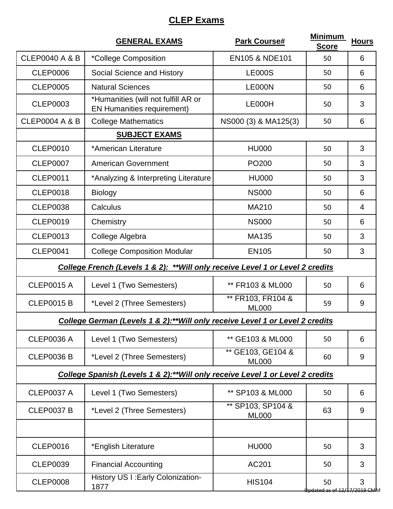## **CLEP Exams**

|                                                                                | <b>GENERAL EXAMS</b>                                                     | <b>Park Course#</b>               | <b>Minimum</b><br><b>Score</b> | <b>Hours</b>   |  |  |
|--------------------------------------------------------------------------------|--------------------------------------------------------------------------|-----------------------------------|--------------------------------|----------------|--|--|
| <b>CLEP0040 A &amp; B</b>                                                      | *College Composition                                                     | <b>EN105 &amp; NDE101</b>         | 50                             | 6              |  |  |
| <b>CLEP0006</b>                                                                | Social Science and History                                               | <b>LE000S</b>                     | 50                             | 6              |  |  |
| <b>CLEP0005</b>                                                                | <b>Natural Sciences</b>                                                  | LE000N                            | 50                             | 6              |  |  |
| <b>CLEP0003</b>                                                                | *Humanities (will not fulfill AR or<br><b>EN Humanities requirement)</b> | LE000H                            | 50                             | 3              |  |  |
| <b>CLEP0004 A &amp; B</b>                                                      | <b>College Mathematics</b>                                               | NS000 (3) & MA125(3)              | 50                             | 6              |  |  |
|                                                                                | <b>SUBJECT EXAMS</b>                                                     |                                   |                                |                |  |  |
| <b>CLEP0010</b>                                                                | *American Literature                                                     | <b>HU000</b>                      | 50                             | 3              |  |  |
| <b>CLEP0007</b>                                                                | <b>American Government</b>                                               | PO <sub>200</sub>                 | 50                             | 3              |  |  |
| <b>CLEP0011</b>                                                                | *Analyzing & Interpreting Literature                                     | <b>HU000</b>                      | 50                             | 3              |  |  |
| <b>CLEP0018</b>                                                                | <b>Biology</b>                                                           | <b>NS000</b>                      | 50                             | 6              |  |  |
| <b>CLEP0038</b>                                                                | Calculus                                                                 | MA210                             | 50                             | $\overline{4}$ |  |  |
| <b>CLEP0019</b>                                                                | Chemistry                                                                | <b>NS000</b>                      | 50                             | 6              |  |  |
| <b>CLEP0013</b>                                                                | College Algebra                                                          | <b>MA135</b>                      | 50                             | 3              |  |  |
| <b>CLEP0041</b>                                                                | <b>College Composition Modular</b>                                       | <b>EN105</b>                      | 50                             | 3              |  |  |
| College French (Levels 1 & 2): ** Will only receive Level 1 or Level 2 credits |                                                                          |                                   |                                |                |  |  |
| <b>CLEP0015 A</b>                                                              | Level 1 (Two Semesters)                                                  | ** FR103 & ML000                  | 50                             | 6              |  |  |
| <b>CLEP0015 B</b>                                                              | *Level 2 (Three Semesters)                                               | ** FR103, FR104 &<br><b>ML000</b> | 59                             | 9              |  |  |
| College German (Levels 1 & 2):** Will only receive Level 1 or Level 2 credits  |                                                                          |                                   |                                |                |  |  |
| <b>CLEP0036 A</b>                                                              | Level 1 (Two Semesters)                                                  | ** GE103 & ML000                  | 50                             | 6              |  |  |
| <b>CLEP0036 B</b>                                                              | *Level 2 (Three Semesters)                                               | ** GE103, GE104 &<br><b>ML000</b> | 60                             | 9              |  |  |
| College Spanish (Levels 1 & 2):** Will only receive Level 1 or Level 2 credits |                                                                          |                                   |                                |                |  |  |
| <b>CLEP0037 A</b>                                                              | Level 1 (Two Semesters)                                                  | ** SP103 & ML000                  | 50                             | 6              |  |  |
| <b>CLEP0037 B</b>                                                              | *Level 2 (Three Semesters)                                               | ** SP103, SP104 &<br><b>ML000</b> | 63                             | 9              |  |  |
|                                                                                |                                                                          |                                   |                                |                |  |  |
| <b>CLEP0016</b>                                                                | *English Literature                                                      | <b>HU000</b>                      | 50                             | 3              |  |  |
| <b>CLEP0039</b>                                                                | <b>Financial Accounting</b>                                              | AC201                             | 50                             | 3              |  |  |
| <b>CLEP0008</b>                                                                | History US I: Early Colonization-<br>1877                                | <b>HIS104</b>                     | 50<br>dated as of 12/1         | 3<br>7/2019 CM |  |  |